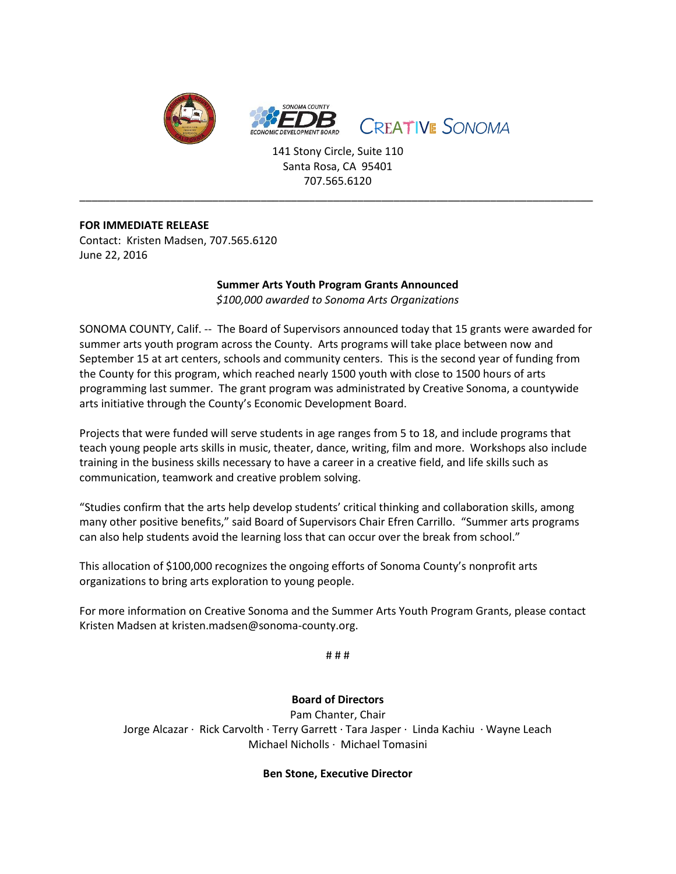

141 Stony Circle, Suite 110 Santa Rosa, CA 95401 707.565.6120

\_\_\_\_\_\_\_\_\_\_\_\_\_\_\_\_\_\_\_\_\_\_\_\_\_\_\_\_\_\_\_\_\_\_\_\_\_\_\_\_\_\_\_\_\_\_\_\_\_\_\_\_\_\_\_\_\_\_\_\_\_\_\_\_\_\_\_\_\_\_\_\_\_\_\_\_\_\_\_\_\_\_\_\_\_

## **FOR IMMEDIATE RELEASE**

Contact: Kristen Madsen, 707.565.6120 June 22, 2016

## **Summer Arts Youth Program Grants Announced**

*\$100,000 awarded to Sonoma Arts Organizations*

SONOMA COUNTY, Calif. -- The Board of Supervisors announced today that 15 grants were awarded for summer arts youth program across the County. Arts programs will take place between now and September 15 at art centers, schools and community centers. This is the second year of funding from the County for this program, which reached nearly 1500 youth with close to 1500 hours of arts programming last summer. The grant program was administrated by Creative Sonoma, a countywide arts initiative through the County's Economic Development Board.

Projects that were funded will serve students in age ranges from 5 to 18, and include programs that teach young people arts skills in music, theater, dance, writing, film and more. Workshops also include training in the business skills necessary to have a career in a creative field, and life skills such as communication, teamwork and creative problem solving.

"Studies confirm that the arts help develop students' critical thinking and collaboration skills, among many other positive benefits," said Board of Supervisors Chair Efren Carrillo. "Summer arts programs can also help students avoid the learning loss that can occur over the break from school."

This allocation of \$100,000 recognizes the ongoing efforts of Sonoma County's nonprofit arts organizations to bring arts exploration to young people.

For more information on Creative Sonoma and the Summer Arts Youth Program Grants, please contact Kristen Madsen at kristen.madsen@sonoma-county.org.

# # #

**Board of Directors**

Pam Chanter, Chair Jorge Alcazar · Rick Carvolth · Terry Garrett · Tara Jasper · Linda Kachiu · Wayne Leach Michael Nicholls · Michael Tomasini

## **Ben Stone, Executive Director**